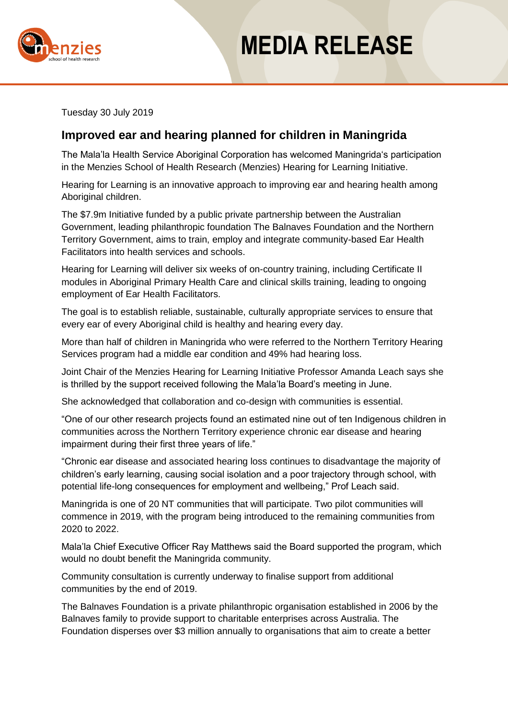



Tuesday 30 July 2019

## **Improved ear and hearing planned for children in Maningrida**

The Mala'la Health Service Aboriginal Corporation has welcomed Maningrida's participation in the Menzies School of Health Research (Menzies) Hearing for Learning Initiative.

Hearing for Learning is an innovative approach to improving ear and hearing health among Aboriginal children.

The \$7.9m Initiative funded by a public private partnership between the Australian Government, leading philanthropic foundation The Balnaves Foundation and the Northern Territory Government, aims to train, employ and integrate community-based Ear Health Facilitators into health services and schools.

Hearing for Learning will deliver six weeks of on-country training, including Certificate II modules in Aboriginal Primary Health Care and clinical skills training, leading to ongoing employment of Ear Health Facilitators.

The goal is to establish reliable, sustainable, culturally appropriate services to ensure that every ear of every Aboriginal child is healthy and hearing every day.

More than half of children in Maningrida who were referred to the Northern Territory Hearing Services program had a middle ear condition and 49% had hearing loss.

Joint Chair of the Menzies Hearing for Learning Initiative Professor Amanda Leach says she is thrilled by the support received following the Mala'la Board's meeting in June.

She acknowledged that collaboration and co-design with communities is essential.

"One of our other research projects found an estimated nine out of ten Indigenous children in communities across the Northern Territory experience chronic ear disease and hearing impairment during their first three years of life."

"Chronic ear disease and associated hearing loss continues to disadvantage the majority of children's early learning, causing social isolation and a poor trajectory through school, with potential life-long consequences for employment and wellbeing," Prof Leach said.

Maningrida is one of 20 NT communities that will participate. Two pilot communities will commence in 2019, with the program being introduced to the remaining communities from 2020 to 2022.

Mala'la Chief Executive Officer Ray Matthews said the Board supported the program, which would no doubt benefit the Maningrida community.

Community consultation is currently underway to finalise support from additional communities by the end of 2019.

The Balnaves Foundation is a private philanthropic organisation established in 2006 by the Balnaves family to provide support to charitable enterprises across Australia. The Foundation disperses over \$3 million annually to organisations that aim to create a better